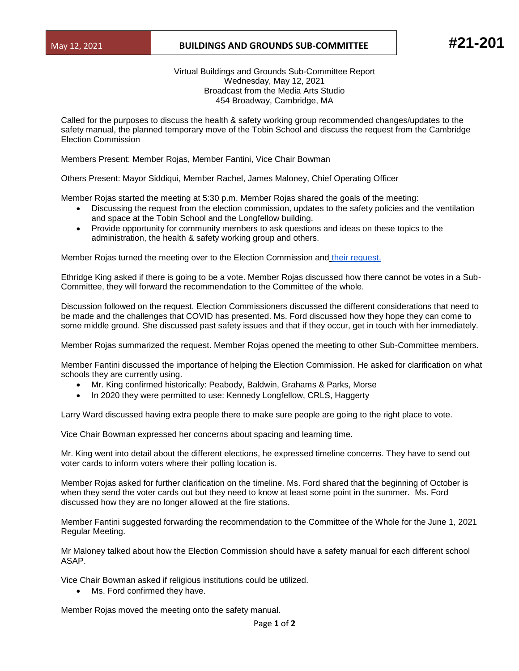## May 12, 2021 **BUILDINGS AND GROUNDS SUB-COMMITTEE #21-201**

Virtual Buildings and Grounds Sub-Committee Report Wednesday, May 12, 2021 Broadcast from the Media Arts Studio 454 Broadway, Cambridge, MA

Called for the purposes to discuss the health & safety working group recommended changes/updates to the safety manual, the planned temporary move of the Tobin School and discuss the request from the Cambridge Election Commission

Members Present: Member Rojas, Member Fantini, Vice Chair Bowman

Others Present: Mayor Siddiqui, Member Rachel, James Maloney, Chief Operating Officer

Member Rojas started the meeting at 5:30 p.m. Member Rojas shared the goals of the meeting:

- Discussing the request from the election commission, updates to the safety policies and the ventilation and space at the Tobin School and the Longfellow building.
- Provide opportunity for community members to ask questions and ideas on these topics to the administration, the health & safety working group and others.

Member Rojas turned the meeting over to the Election Commission and [their request.](https://www.cpsd.us/UserFiles/Servers/Server_3042785/File/school_committee/4721_EC_Letter_Buildings_Sub-Committee.pdf)

Ethridge King asked if there is going to be a vote. Member Rojas discussed how there cannot be votes in a Sub-Committee, they will forward the recommendation to the Committee of the whole.

Discussion followed on the request. Election Commissioners discussed the different considerations that need to be made and the challenges that COVID has presented. Ms. Ford discussed how they hope they can come to some middle ground. She discussed past safety issues and that if they occur, get in touch with her immediately.

Member Rojas summarized the request. Member Rojas opened the meeting to other Sub-Committee members.

Member Fantini discussed the importance of helping the Election Commission. He asked for clarification on what schools they are currently using.

- Mr. King confirmed historically: Peabody, Baldwin, Grahams & Parks, Morse
- In 2020 they were permitted to use: Kennedy Longfellow, CRLS, Haggerty

Larry Ward discussed having extra people there to make sure people are going to the right place to vote.

Vice Chair Bowman expressed her concerns about spacing and learning time.

Mr. King went into detail about the different elections, he expressed timeline concerns. They have to send out voter cards to inform voters where their polling location is.

Member Rojas asked for further clarification on the timeline. Ms. Ford shared that the beginning of October is when they send the voter cards out but they need to know at least some point in the summer. Ms. Ford discussed how they are no longer allowed at the fire stations.

Member Fantini suggested forwarding the recommendation to the Committee of the Whole for the June 1, 2021 Regular Meeting.

Mr Maloney talked about how the Election Commission should have a safety manual for each different school ASAP.

Vice Chair Bowman asked if religious institutions could be utilized.

• Ms. Ford confirmed they have.

Member Rojas moved the meeting onto the safety manual.